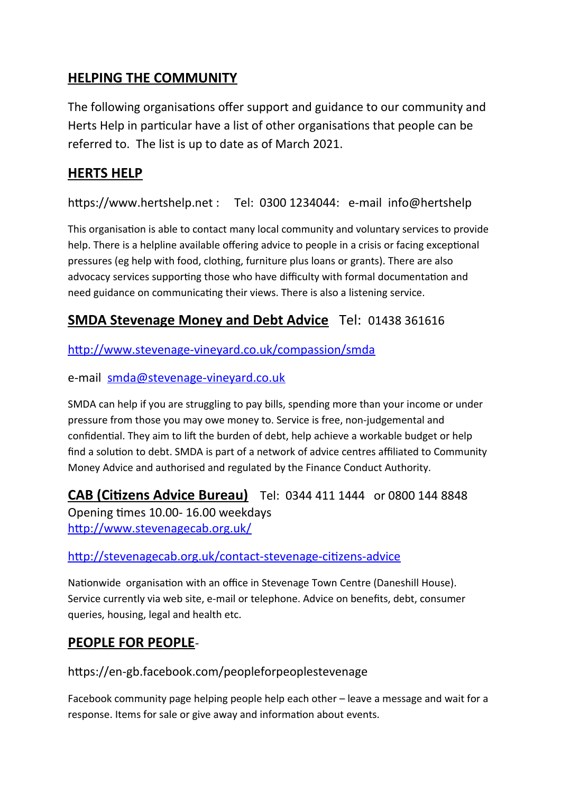# **HELPING THE COMMUNITY**

The following organisations offer support and guidance to our community and Herts Help in particular have a list of other organisations that people can be referred to. The list is up to date as of March 2021.

## **HERTS HELP**

https://www.hertshelp.net : Tel: 0300 1234044: e-mail info@hertshelp

This organisation is able to contact many local community and voluntary services to provide help. There is a helpline available offering advice to people in a crisis or facing exceptional pressures (eg help with food, clothing, furniture plus loans or grants). There are also advocacy services supporting those who have difficulty with formal documentation and need guidance on communicating their views. There is also a listening service.

## **SMDA Stevenage Money and Debt Advice** Tel: 01438 361616

<http://www.stevenage-vineyard.co.uk/compassion/smda>

e-mail [smda@stevenage-vineyard.co.uk](mailto:smda@stevenage-vineyard.co.uk)

SMDA can help if you are struggling to pay bills, spending more than your income or under pressure from those you may owe money to. Service is free, non-judgemental and confidential. They aim to lift the burden of debt, help achieve a workable budget or help find a solution to debt. SMDA is part of a network of advice centres affiliated to Community Money Advice and authorised and regulated by the Finance Conduct Authority.

**CAB (Citizens Advice Bureau)** Tel: 0344 411 1444 or 0800 144 8848 Opening times 10.00- 16.00 weekdays <http://www.stevenagecab.org.uk/>

#### <http://stevenagecab.org.uk/contact-stevenage-citizens-advice>

Nationwide organisation with an office in Stevenage Town Centre (Daneshill House). Service currently via web site, e-mail or telephone. Advice on benefits, debt, consumer queries, housing, legal and health etc.

### **PEOPLE FOR PEOPLE**-

https://en-gb.facebook.com/peopleforpeoplestevenage

Facebook community page helping people help each other – leave a message and wait for a response. Items for sale or give away and information about events.